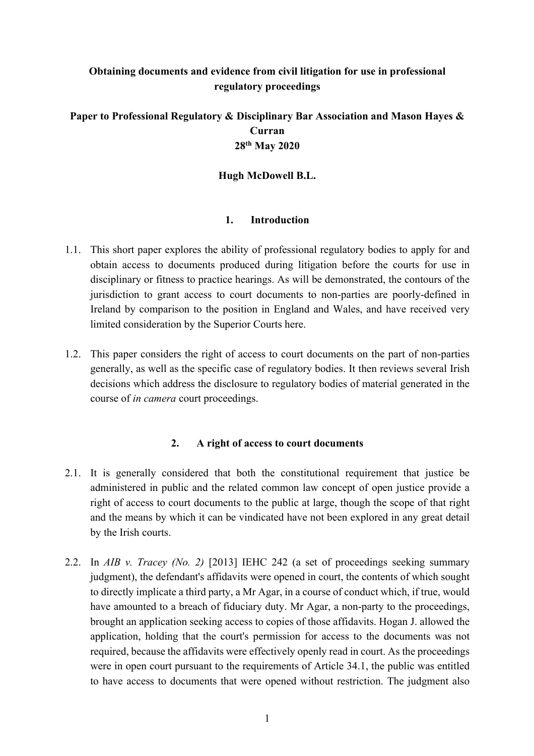# **Obtaining documents and evidence from civil litigation for use in professional regulatory proceedings**

# **Paper to Professional Regulatory & Disciplinary Bar Association and Mason Hayes & Curran 28th May 2020**

### **Hugh McDowell B.L.**

#### **1. Introduction**

- 1.1. This short paper explores the ability of professional regulatory bodies to apply for and obtain access to documents produced during litigation before the courts for use in disciplinary or fitness to practice hearings. As will be demonstrated, the contours of the jurisdiction to grant access to court documents to non-parties are poorly-defined in Ireland by comparison to the position in England and Wales, and have received very limited consideration by the Superior Courts here.
- 1.2. This paper considers the right of access to court documents on the part of non-parties generally, as well as the specific case of regulatory bodies. It then reviews several Irish decisions which address the disclosure to regulatory bodies of material generated in the course of *in camera* court proceedings.

#### **2. A right of access to court documents**

- 2.1. It is generally considered that both the constitutional requirement that justice be administered in public and the related common law concept of open justice provide a right of access to court documents to the public at large, though the scope of that right and the means by which it can be vindicated have not been explored in any great detail by the Irish courts.
- 2.2. In *AIB v. Tracey (No. 2)* [2013] IEHC 242 (a set of proceedings seeking summary judgment), the defendant's affidavits were opened in court, the contents of which sought to directly implicate a third party, a Mr Agar, in a course of conduct which, if true, would have amounted to a breach of fiduciary duty. Mr Agar, a non-party to the proceedings, brought an application seeking access to copies of those affidavits. Hogan J. allowed the application, holding that the court's permission for access to the documents was not required, because the affidavits were effectively openly read in court. As the proceedings were in open court pursuant to the requirements of Article 34.1, the public was entitled to have access to documents that were opened without restriction. The judgment also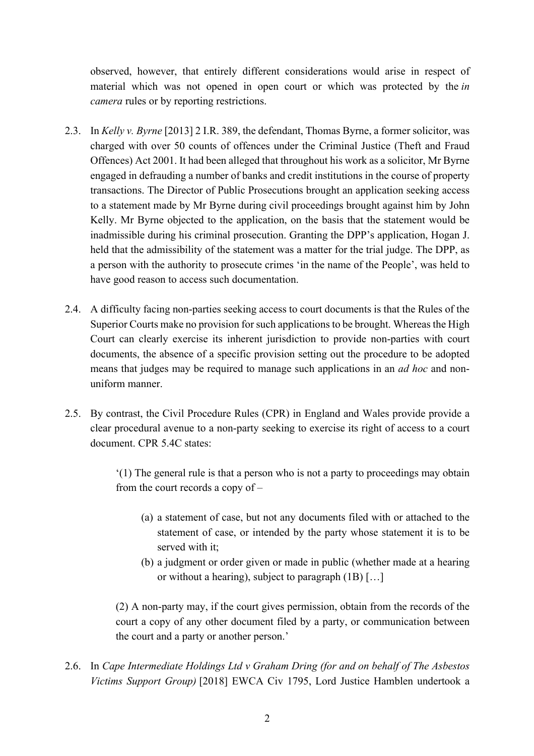observed, however, that entirely different considerations would arise in respect of material which was not opened in open court or which was protected by the *in camera* rules or by reporting restrictions.

- 2.3. In *Kelly v. Byrne* [2013] 2 I.R. 389, the defendant, Thomas Byrne, a former solicitor, was charged with over 50 counts of offences under the Criminal Justice (Theft and Fraud Offences) Act 2001. It had been alleged that throughout his work as a solicitor, Mr Byrne engaged in defrauding a number of banks and credit institutions in the course of property transactions. The Director of Public Prosecutions brought an application seeking access to a statement made by Mr Byrne during civil proceedings brought against him by John Kelly. Mr Byrne objected to the application, on the basis that the statement would be inadmissible during his criminal prosecution. Granting the DPP's application, Hogan J. held that the admissibility of the statement was a matter for the trial judge. The DPP, as a person with the authority to prosecute crimes 'in the name of the People', was held to have good reason to access such documentation.
- 2.4. A difficulty facing non-parties seeking access to court documents is that the Rules of the Superior Courts make no provision for such applications to be brought. Whereas the High Court can clearly exercise its inherent jurisdiction to provide non-parties with court documents, the absence of a specific provision setting out the procedure to be adopted means that judges may be required to manage such applications in an *ad hoc* and nonuniform manner.
- 2.5. By contrast, the Civil Procedure Rules (CPR) in England and Wales provide provide a clear procedural avenue to a non-party seeking to exercise its right of access to a court document. CPR 5.4C states:

'(1) The general rule is that a person who is not a party to proceedings may obtain from the court records a copy of –

- (a) a statement of case, but not any documents filed with or attached to the statement of case, or intended by the party whose statement it is to be served with it;
- (b) a judgment or order given or made in public (whether made at a hearing or without a hearing), subject to paragraph (1B) […]

(2) A non-party may, if the court gives permission, obtain from the records of the court a copy of any other document filed by a party, or communication between the court and a party or another person.'

2.6. In *Cape Intermediate Holdings Ltd v Graham Dring (for and on behalf of The Asbestos Victims Support Group)* [2018] EWCA Civ 1795, Lord Justice Hamblen undertook a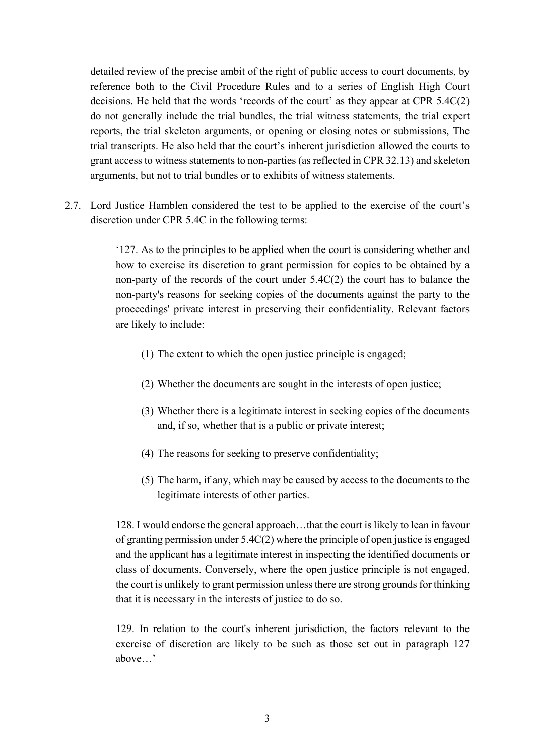detailed review of the precise ambit of the right of public access to court documents, by reference both to the Civil Procedure Rules and to a series of English High Court decisions. He held that the words 'records of the court' as they appear at CPR 5.4C(2) do not generally include the trial bundles, the trial witness statements, the trial expert reports, the trial skeleton arguments, or opening or closing notes or submissions, The trial transcripts. He also held that the court's inherent jurisdiction allowed the courts to grant access to witness statements to non-parties (as reflected in CPR 32.13) and skeleton arguments, but not to trial bundles or to exhibits of witness statements.

2.7. Lord Justice Hamblen considered the test to be applied to the exercise of the court's discretion under CPR 5.4C in the following terms:

> '127. As to the principles to be applied when the court is considering whether and how to exercise its discretion to grant permission for copies to be obtained by a non-party of the records of the court under 5.4C(2) the court has to balance the non-party's reasons for seeking copies of the documents against the party to the proceedings' private interest in preserving their confidentiality. Relevant factors are likely to include:

- (1) The extent to which the open justice principle is engaged;
- (2) Whether the documents are sought in the interests of open justice;
- (3) Whether there is a legitimate interest in seeking copies of the documents and, if so, whether that is a public or private interest;
- (4) The reasons for seeking to preserve confidentiality;
- (5) The harm, if any, which may be caused by access to the documents to the legitimate interests of other parties.

128. I would endorse the general approach…that the court is likely to lean in favour of granting permission under 5.4C(2) where the principle of open justice is engaged and the applicant has a legitimate interest in inspecting the identified documents or class of documents. Conversely, where the open justice principle is not engaged, the court is unlikely to grant permission unless there are strong grounds for thinking that it is necessary in the interests of justice to do so.

129. In relation to the court's inherent jurisdiction, the factors relevant to the exercise of discretion are likely to be such as those set out in paragraph 127 above…'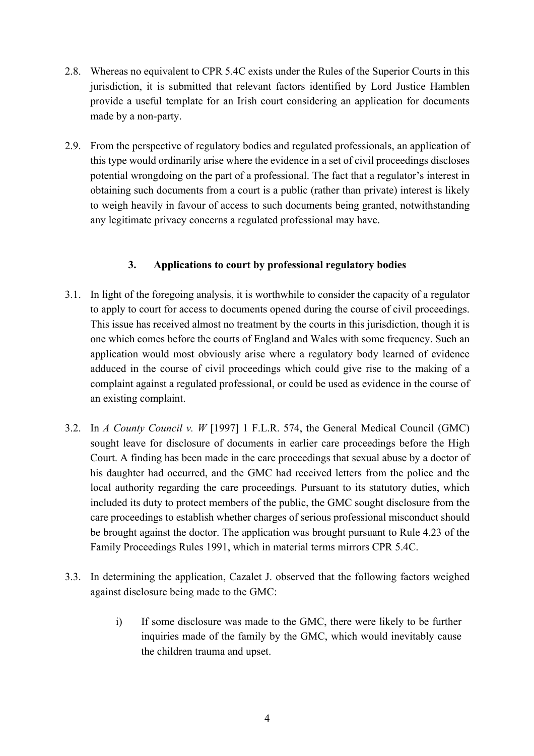- 2.8. Whereas no equivalent to CPR 5.4C exists under the Rules of the Superior Courts in this jurisdiction, it is submitted that relevant factors identified by Lord Justice Hamblen provide a useful template for an Irish court considering an application for documents made by a non-party.
- 2.9. From the perspective of regulatory bodies and regulated professionals, an application of this type would ordinarily arise where the evidence in a set of civil proceedings discloses potential wrongdoing on the part of a professional. The fact that a regulator's interest in obtaining such documents from a court is a public (rather than private) interest is likely to weigh heavily in favour of access to such documents being granted, notwithstanding any legitimate privacy concerns a regulated professional may have.

## **3. Applications to court by professional regulatory bodies**

- 3.1. In light of the foregoing analysis, it is worthwhile to consider the capacity of a regulator to apply to court for access to documents opened during the course of civil proceedings. This issue has received almost no treatment by the courts in this jurisdiction, though it is one which comes before the courts of England and Wales with some frequency. Such an application would most obviously arise where a regulatory body learned of evidence adduced in the course of civil proceedings which could give rise to the making of a complaint against a regulated professional, or could be used as evidence in the course of an existing complaint.
- 3.2. In *A County Council v. W* [1997] 1 F.L.R. 574, the General Medical Council (GMC) sought leave for disclosure of documents in earlier care proceedings before the High Court. A finding has been made in the care proceedings that sexual abuse by a doctor of his daughter had occurred, and the GMC had received letters from the police and the local authority regarding the care proceedings. Pursuant to its statutory duties, which included its duty to protect members of the public, the GMC sought disclosure from the care proceedings to establish whether charges of serious professional misconduct should be brought against the doctor. The application was brought pursuant to Rule 4.23 of the Family Proceedings Rules 1991, which in material terms mirrors CPR 5.4C.
- 3.3. In determining the application, Cazalet J. observed that the following factors weighed against disclosure being made to the GMC:
	- i) If some disclosure was made to the GMC, there were likely to be further inquiries made of the family by the GMC, which would inevitably cause the children trauma and upset.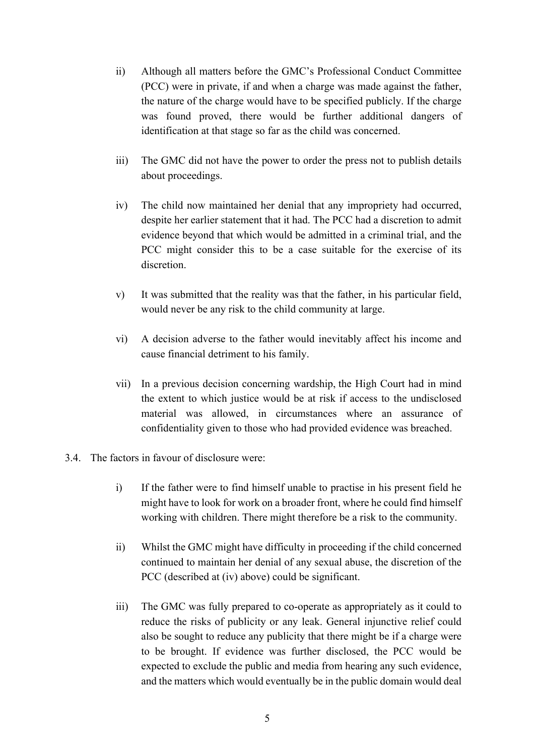- ii) Although all matters before the GMC's Professional Conduct Committee (PCC) were in private, if and when a charge was made against the father, the nature of the charge would have to be specified publicly. If the charge was found proved, there would be further additional dangers of identification at that stage so far as the child was concerned.
- iii) The GMC did not have the power to order the press not to publish details about proceedings.
- iv) The child now maintained her denial that any impropriety had occurred, despite her earlier statement that it had. The PCC had a discretion to admit evidence beyond that which would be admitted in a criminal trial, and the PCC might consider this to be a case suitable for the exercise of its discretion.
- v) It was submitted that the reality was that the father, in his particular field, would never be any risk to the child community at large.
- vi) A decision adverse to the father would inevitably affect his income and cause financial detriment to his family.
- vii) In a previous decision concerning wardship, the High Court had in mind the extent to which justice would be at risk if access to the undisclosed material was allowed, in circumstances where an assurance of confidentiality given to those who had provided evidence was breached.
- 3.4. The factors in favour of disclosure were:
	- i) If the father were to find himself unable to practise in his present field he might have to look for work on a broader front, where he could find himself working with children. There might therefore be a risk to the community.
	- ii) Whilst the GMC might have difficulty in proceeding if the child concerned continued to maintain her denial of any sexual abuse, the discretion of the PCC (described at (iv) above) could be significant.
	- iii) The GMC was fully prepared to co-operate as appropriately as it could to reduce the risks of publicity or any leak. General injunctive relief could also be sought to reduce any publicity that there might be if a charge were to be brought. If evidence was further disclosed, the PCC would be expected to exclude the public and media from hearing any such evidence, and the matters which would eventually be in the public domain would deal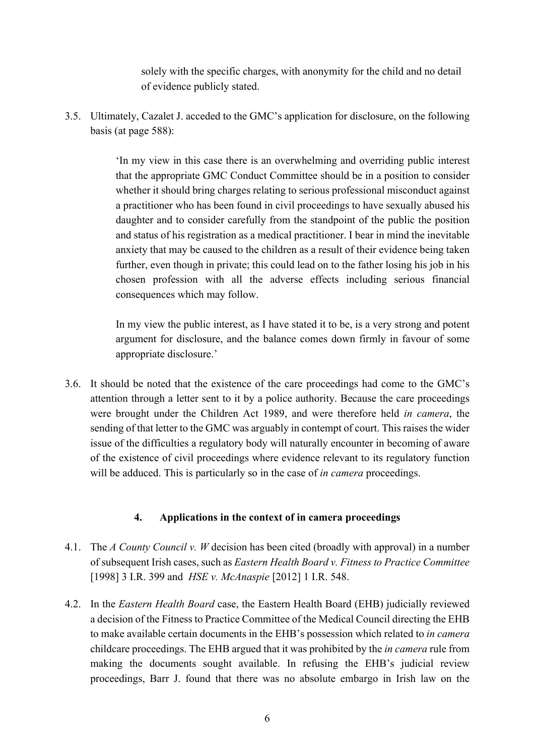solely with the specific charges, with anonymity for the child and no detail of evidence publicly stated.

3.5. Ultimately, Cazalet J. acceded to the GMC's application for disclosure, on the following basis (at page 588):

> 'In my view in this case there is an overwhelming and overriding public interest that the appropriate GMC Conduct Committee should be in a position to consider whether it should bring charges relating to serious professional misconduct against a practitioner who has been found in civil proceedings to have sexually abused his daughter and to consider carefully from the standpoint of the public the position and status of his registration as a medical practitioner. I bear in mind the inevitable anxiety that may be caused to the children as a result of their evidence being taken further, even though in private; this could lead on to the father losing his job in his chosen profession with all the adverse effects including serious financial consequences which may follow.

> In my view the public interest, as I have stated it to be, is a very strong and potent argument for disclosure, and the balance comes down firmly in favour of some appropriate disclosure.'

3.6. It should be noted that the existence of the care proceedings had come to the GMC's attention through a letter sent to it by a police authority. Because the care proceedings were brought under the Children Act 1989, and were therefore held *in camera*, the sending of that letter to the GMC was arguably in contempt of court. This raises the wider issue of the difficulties a regulatory body will naturally encounter in becoming of aware of the existence of civil proceedings where evidence relevant to its regulatory function will be adduced. This is particularly so in the case of *in camera* proceedings.

### **4. Applications in the context of in camera proceedings**

- 4.1. The *A County Council v. W* decision has been cited (broadly with approval) in a number of subsequent Irish cases, such as *Eastern Health Board v. Fitness to Practice Committee* [1998] 3 I.R. 399 and *HSE v. McAnaspie* [2012] 1 I.R. 548.
- 4.2. In the *Eastern Health Board* case, the Eastern Health Board (EHB) judicially reviewed a decision of the Fitness to Practice Committee of the Medical Council directing the EHB to make available certain documents in the EHB's possession which related to *in camera* childcare proceedings. The EHB argued that it was prohibited by the *in camera* rule from making the documents sought available. In refusing the EHB's judicial review proceedings, Barr J. found that there was no absolute embargo in Irish law on the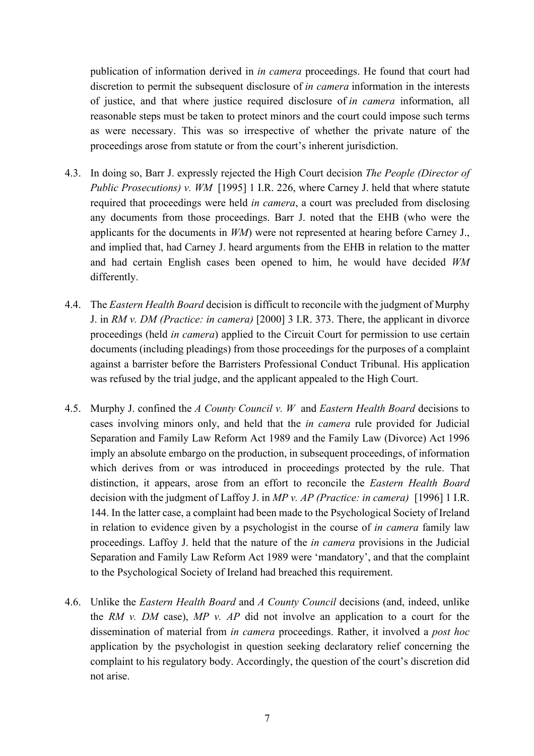publication of information derived in *in camera* proceedings. He found that court had discretion to permit the subsequent disclosure of *in camera* information in the interests of justice, and that where justice required disclosure of *in camera* information, all reasonable steps must be taken to protect minors and the court could impose such terms as were necessary. This was so irrespective of whether the private nature of the proceedings arose from statute or from the court's inherent jurisdiction.

- 4.3. In doing so, Barr J. expressly rejected the High Court decision *The People (Director of Public Prosecutions) v. WM* [1995] 1 I.R. 226, where Carney J. held that where statute required that proceedings were held *in camera*, a court was precluded from disclosing any documents from those proceedings. Barr J. noted that the EHB (who were the applicants for the documents in *WM*) were not represented at hearing before Carney J., and implied that, had Carney J. heard arguments from the EHB in relation to the matter and had certain English cases been opened to him, he would have decided *WM*  differently.
- 4.4. The *Eastern Health Board* decision is difficult to reconcile with the judgment of Murphy J. in *RM v. DM (Practice: in camera)* [2000] 3 I.R. 373. There, the applicant in divorce proceedings (held *in camera*) applied to the Circuit Court for permission to use certain documents (including pleadings) from those proceedings for the purposes of a complaint against a barrister before the Barristers Professional Conduct Tribunal. His application was refused by the trial judge, and the applicant appealed to the High Court.
- 4.5. Murphy J. confined the *A County Council v. W* and *Eastern Health Board* decisions to cases involving minors only, and held that the *in camera* rule provided for Judicial Separation and Family Law Reform Act 1989 and the Family Law (Divorce) Act 1996 imply an absolute embargo on the production, in subsequent proceedings, of information which derives from or was introduced in proceedings protected by the rule. That distinction, it appears, arose from an effort to reconcile the *Eastern Health Board* decision with the judgment of Laffoy J. in *MP v. AP (Practice: in camera)* [1996] 1 I.R. 144. In the latter case, a complaint had been made to the Psychological Society of Ireland in relation to evidence given by a psychologist in the course of *in camera* family law proceedings. Laffoy J. held that the nature of the *in camera* provisions in the Judicial Separation and Family Law Reform Act 1989 were 'mandatory', and that the complaint to the Psychological Society of Ireland had breached this requirement.
- 4.6. Unlike the *Eastern Health Board* and *A County Council* decisions (and, indeed, unlike the *RM v. DM* case), *MP v. AP* did not involve an application to a court for the dissemination of material from *in camera* proceedings. Rather, it involved a *post hoc* application by the psychologist in question seeking declaratory relief concerning the complaint to his regulatory body. Accordingly, the question of the court's discretion did not arise.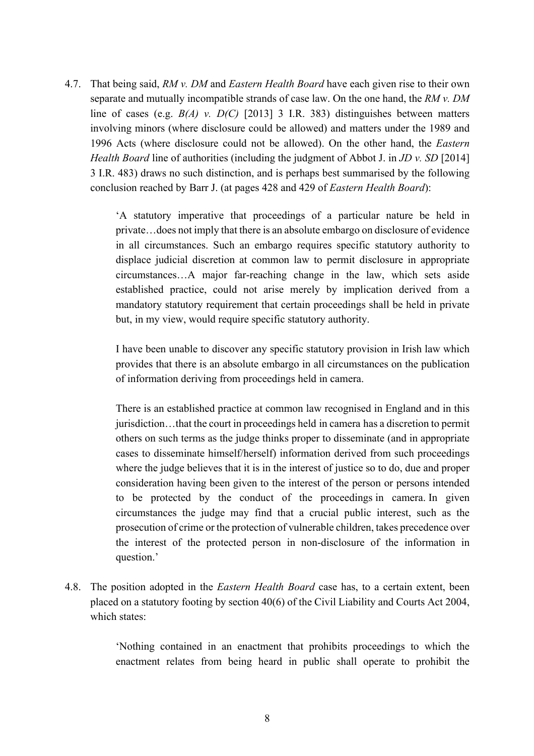4.7. That being said, *RM v. DM* and *Eastern Health Board* have each given rise to their own separate and mutually incompatible strands of case law. On the one hand, the *RM v. DM* line of cases (e.g. *B(A) v. D(C)* [2013] 3 I.R. 383) distinguishes between matters involving minors (where disclosure could be allowed) and matters under the 1989 and 1996 Acts (where disclosure could not be allowed). On the other hand, the *Eastern Health Board* line of authorities (including the judgment of Abbot J. in *JD v. SD* [2014] 3 I.R. 483) draws no such distinction, and is perhaps best summarised by the following conclusion reached by Barr J. (at pages 428 and 429 of *Eastern Health Board*):

> 'A statutory imperative that proceedings of a particular nature be held in private…does not imply that there is an absolute embargo on disclosure of evidence in all circumstances. Such an embargo requires specific statutory authority to displace judicial discretion at common law to permit disclosure in appropriate circumstances…A major far-reaching change in the law, which sets aside established practice, could not arise merely by implication derived from a mandatory statutory requirement that certain proceedings shall be held in private but, in my view, would require specific statutory authority.

> I have been unable to discover any specific statutory provision in Irish law which provides that there is an absolute embargo in all circumstances on the publication of information deriving from proceedings held in camera.

> There is an established practice at common law recognised in England and in this jurisdiction…that the court in proceedings held in camera has a discretion to permit others on such terms as the judge thinks proper to disseminate (and in appropriate cases to disseminate himself/herself) information derived from such proceedings where the judge believes that it is in the interest of justice so to do, due and proper consideration having been given to the interest of the person or persons intended to be protected by the conduct of the proceedings in camera. In given circumstances the judge may find that a crucial public interest, such as the prosecution of crime or the protection of vulnerable children, takes precedence over the interest of the protected person in non-disclosure of the information in question.'

4.8. The position adopted in the *Eastern Health Board* case has, to a certain extent, been placed on a statutory footing by section 40(6) of the Civil Liability and Courts Act 2004, which states:

> 'Nothing contained in an enactment that prohibits proceedings to which the enactment relates from being heard in public shall operate to prohibit the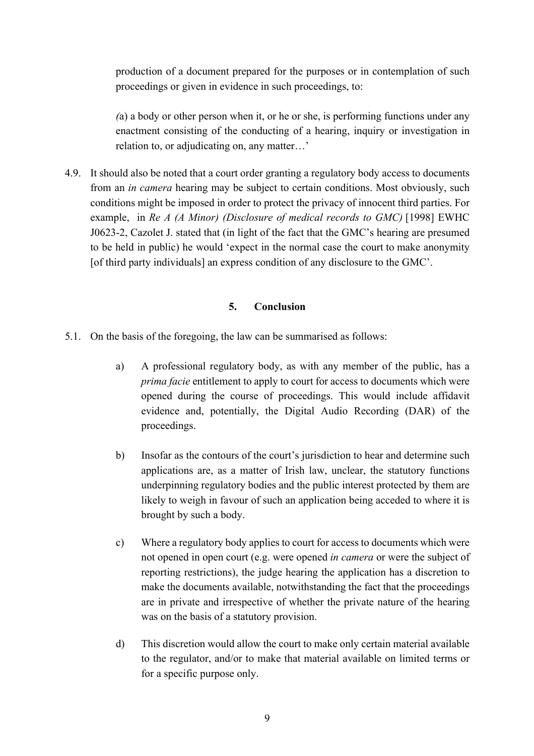production of a document prepared for the purposes or in contemplation of such proceedings or given in evidence in such proceedings, to:

*(*a) a body or other person when it, or he or she, is performing functions under any enactment consisting of the conducting of a hearing, inquiry or investigation in relation to, or adjudicating on, any matter…'

4.9. It should also be noted that a court order granting a regulatory body access to documents from an *in camera* hearing may be subject to certain conditions. Most obviously, such conditions might be imposed in order to protect the privacy of innocent third parties. For example, in *Re A (A Minor) (Disclosure of medical records to GMC)* [1998] EWHC J0623-2, Cazolet J. stated that (in light of the fact that the GMC's hearing are presumed to be held in public) he would 'expect in the normal case the court to make anonymity [of third party individuals] an express condition of any disclosure to the GMC'.

#### **5. Conclusion**

- 5.1. On the basis of the foregoing, the law can be summarised as follows:
	- a) A professional regulatory body, as with any member of the public, has a *prima facie* entitlement to apply to court for access to documents which were opened during the course of proceedings. This would include affidavit evidence and, potentially, the Digital Audio Recording (DAR) of the proceedings.
	- b) Insofar as the contours of the court's jurisdiction to hear and determine such applications are, as a matter of Irish law, unclear, the statutory functions underpinning regulatory bodies and the public interest protected by them are likely to weigh in favour of such an application being acceded to where it is brought by such a body.
	- c) Where a regulatory body applies to court for access to documents which were not opened in open court (e.g. were opened *in camera* or were the subject of reporting restrictions), the judge hearing the application has a discretion to make the documents available, notwithstanding the fact that the proceedings are in private and irrespective of whether the private nature of the hearing was on the basis of a statutory provision.
	- d) This discretion would allow the court to make only certain material available to the regulator, and/or to make that material available on limited terms or for a specific purpose only.